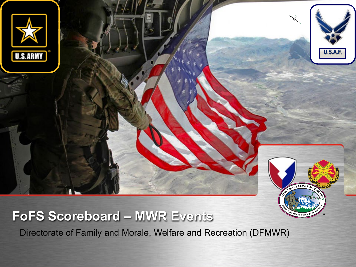

# **FoFS Scoreboard – MWR Events**

Directorate of Family and Morale, Welfare and Recreation (DFMWR)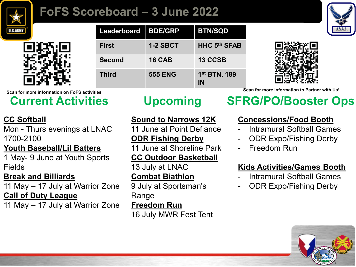

# **FoFS Scoreboard – 3 June 2022**





| Leaderboard   | <b>BDE/GRP</b>  | <b>BTN/SQD</b>                 |
|---------------|-----------------|--------------------------------|
| <b>First</b>  | <b>1-2 SBCT</b> | <b>HHC 5th SFAB</b>            |
| <b>Second</b> | <b>16 CAB</b>   | 13 CCSB                        |
| <b>Third</b>  | <b>555 ENG</b>  | 1 <sup>st</sup> BTN, 189<br>ΙN |



#### **CC Softball**

Mon - Thurs evenings at LNAC 1700-2100

#### **Youth Baseball/Lil Batters**

1 May- 9 June at Youth Sports Fields

#### **Break and Billiards**

11 May – 17 July at Warrior Zone **Call of Duty League**

11 May – 17 July at Warrior Zone

#### **Sound to Narrows 12K**

11 June at Point Defiance

#### **ODR Fishing Derby**

11 June at Shoreline Park

#### **CC Outdoor Basketball**

13 July at LNAC **Combat Biathlon**

9 July at Sportsman's Range

#### **Freedom Run**

16 July MWR Fest Tent

**Scan for more information on FoFS activities Scan for more information to Partner with Us!**

# **Current Activities Upcoming SFRG/PO/Booster Ops**

### **Concessions/Food Booth**

- Intramural Softball Games
- ODR Expo/Fishing Derby
- Freedom Run

### **Kids Activities/Games Booth**

- Intramural Softball Games
- ODR Expo/Fishing Derby

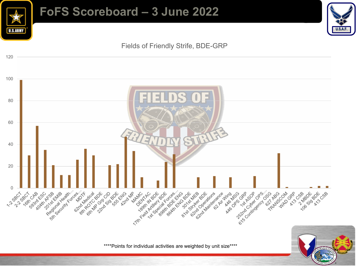

## **FoFS Scoreboard – 3 June 2022**



Fields of Friendly Strife, BDE-GRP